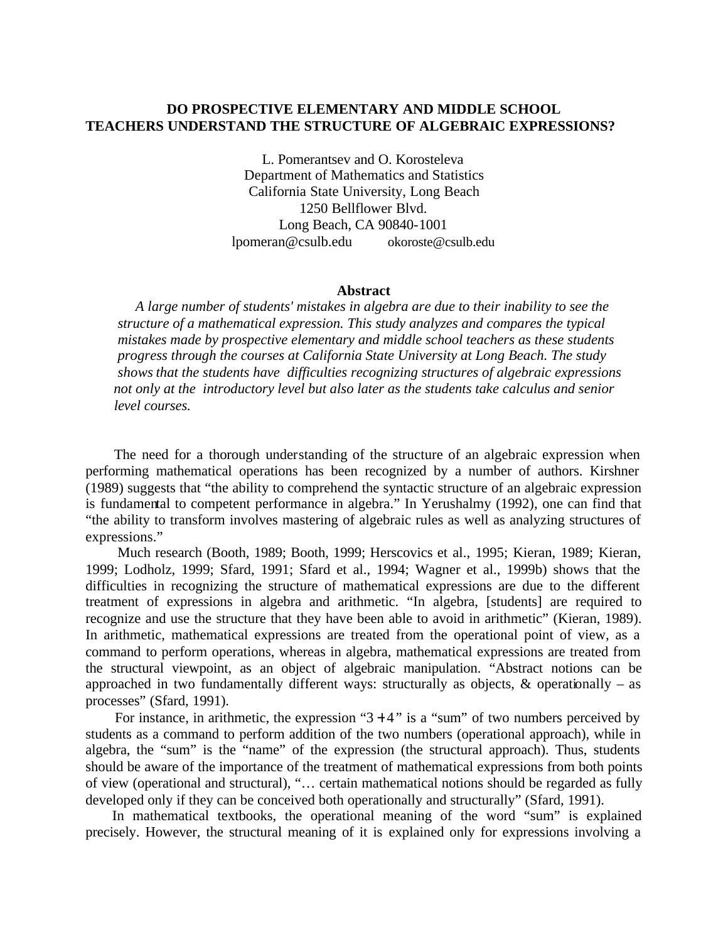# **DO PROSPECTIVE ELEMENTARY AND MIDDLE SCHOOL TEACHERS UNDERSTAND THE STRUCTURE OF ALGEBRAIC EXPRESSIONS?**

L. Pomerantsev and O. Korosteleva Department of Mathematics and Statistics California State University, Long Beach 1250 Bellflower Blvd. Long Beach, CA 90840-1001 lpomeran@csulb.edu okoroste@csulb.edu

#### **Abstract**

 *A large number of students' mistakes in algebra are due to their inability to see the structure of a mathematical expression. This study analyzes and compares the typical mistakes made by prospective elementary and middle school teachers as these students progress through the courses at California State University at Long Beach. The study shows that the students have difficulties recognizing structures of algebraic expressions not only at the introductory level but also later as the students take calculus and senior level courses.*

The need for a thorough understanding of the structure of an algebraic expression when performing mathematical operations has been recognized by a number of authors. Kirshner (1989) suggests that "the ability to comprehend the syntactic structure of an algebraic expression is fundamental to competent performance in algebra." In Yerushalmy (1992), one can find that "the ability to transform involves mastering of algebraic rules as well as analyzing structures of expressions."

 Much research (Booth, 1989; Booth, 1999; Herscovics et al., 1995; Kieran, 1989; Kieran, 1999; Lodholz, 1999; Sfard, 1991; Sfard et al., 1994; Wagner et al., 1999b) shows that the difficulties in recognizing the structure of mathematical expressions are due to the different treatment of expressions in algebra and arithmetic. "In algebra, [students] are required to recognize and use the structure that they have been able to avoid in arithmetic" (Kieran, 1989). In arithmetic, mathematical expressions are treated from the operational point of view, as a command to perform operations, whereas in algebra, mathematical expressions are treated from the structural viewpoint, as an object of algebraic manipulation. "Abstract notions can be approached in two fundamentally different ways: structurally as objects,  $\&$  operationally – as processes" (Sfard, 1991).

For instance, in arithmetic, the expression " $3 + 4$ " is a "sum" of two numbers perceived by students as a command to perform addition of the two numbers (operational approach), while in algebra, the "sum" is the "name" of the expression (the structural approach). Thus, students should be aware of the importance of the treatment of mathematical expressions from both points of view (operational and structural), "… certain mathematical notions should be regarded as fully developed only if they can be conceived both operationally and structurally" (Sfard, 1991).

 In mathematical textbooks, the operational meaning of the word "sum" is explained precisely. However, the structural meaning of it is explained only for expressions involving a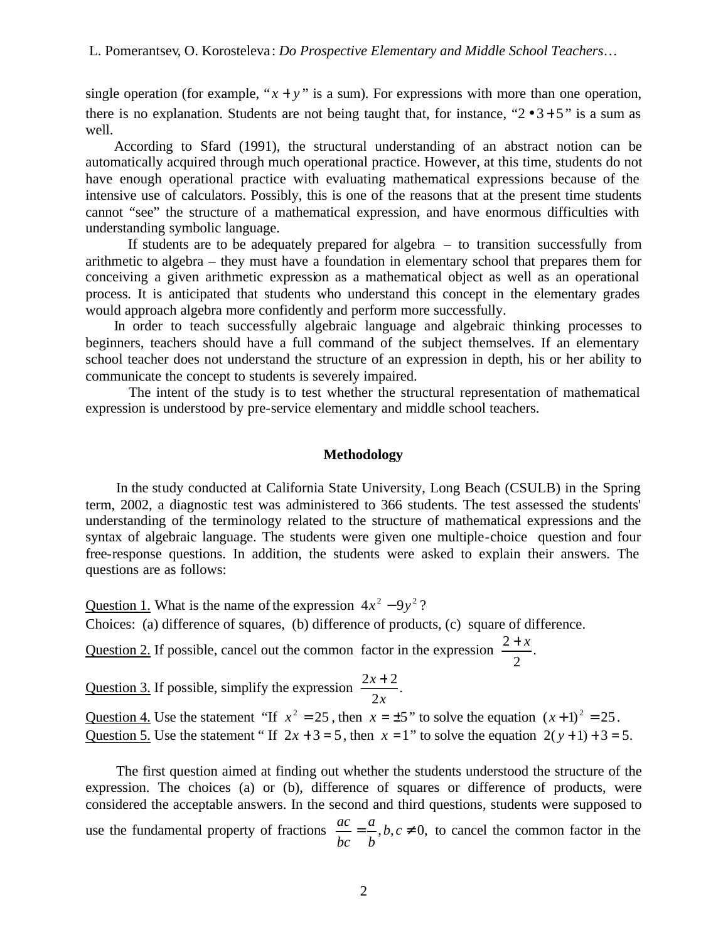single operation (for example, " $x + y$ " is a sum). For expressions with more than one operation, there is no explanation. Students are not being taught that, for instance, " $2 \cdot 3 + 5$ " is a sum as well.

 According to Sfard (1991), the structural understanding of an abstract notion can be automatically acquired through much operational practice. However, at this time, students do not have enough operational practice with evaluating mathematical expressions because of the intensive use of calculators. Possibly, this is one of the reasons that at the present time students cannot "see" the structure of a mathematical expression, and have enormous difficulties with understanding symbolic language.

 If students are to be adequately prepared for algebra – to transition successfully from arithmetic to algebra – they must have a foundation in elementary school that prepares them for conceiving a given arithmetic expression as a mathematical object as well as an operational process. It is anticipated that students who understand this concept in the elementary grades would approach algebra more confidently and perform more successfully.

 In order to teach successfully algebraic language and algebraic thinking processes to beginners, teachers should have a full command of the subject themselves. If an elementary school teacher does not understand the structure of an expression in depth, his or her ability to communicate the concept to students is severely impaired.

 The intent of the study is to test whether the structural representation of mathematical expression is understood by pre-service elementary and middle school teachers.

# **Methodology**

 In the study conducted at California State University, Long Beach (CSULB) in the Spring term, 2002, a diagnostic test was administered to 366 students. The test assessed the students' understanding of the terminology related to the structure of mathematical expressions and the syntax of algebraic language. The students were given one multiple-choice question and four free-response questions. In addition, the students were asked to explain their answers. The questions are as follows:

Question 1. What is the name of the expression  $4x^2 - 9y^2$ ? Choices: (a) difference of squares, (b) difference of products, (c) square of difference.

Question 2. If possible, cancel out the common factor in the expression  $\frac{2+x}{2}$ . 2  $2 + x$ 

Question 3. If possible, simplify the expression  $\frac{2x+2}{x}$ . 2  $2x + 2$ *x x* +

Question 4. Use the statement "If  $x^2 = 25$ , then  $x = \pm 5$ " to solve the equation  $(x+1)^2 = 25$ . Question 5. Use the statement " If  $2x + 3 = 5$ , then  $x = 1$ " to solve the equation  $2(y+1) + 3 = 5$ .

 The first question aimed at finding out whether the students understood the structure of the expression. The choices (a) or (b), difference of squares or difference of products, were considered the acceptable answers. In the second and third questions, students were supposed to use the fundamental property of fractions  $\frac{ac}{dx} = \frac{a}{a}$ ,  $b, c \neq 0$ , *b a bc*  $\frac{ac}{c} = \frac{a}{c}$ , *b*, *c*  $\neq$  0, to cancel the common factor in the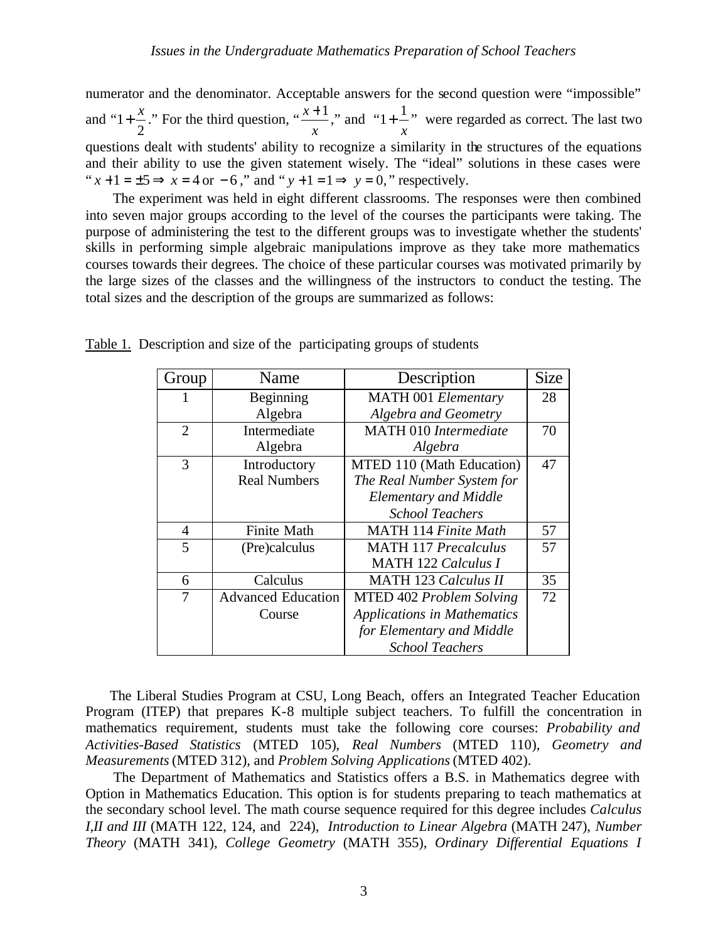numerator and the denominator. Acceptable answers for the second question were "impossible" and " 2  $1 + \frac{x}{x}$ ." For the third question, " *x*  $\frac{x+1}{x}$ , and " *x*  $1 + \frac{1}{n}$  were regarded as correct. The last two questions dealt with students' ability to recognize a similarity in the structures of the equations and their ability to use the given statement wisely. The "ideal" solutions in these cases were " $x+1 = \pm 5 \implies x = 4$  or  $-6$ ," and " $y+1 = 1 \implies y = 0$ ," respectively.

 The experiment was held in eight different classrooms. The responses were then combined into seven major groups according to the level of the courses the participants were taking. The purpose of administering the test to the different groups was to investigate whether the students' skills in performing simple algebraic manipulations improve as they take more mathematics courses towards their degrees. The choice of these particular courses was motivated primarily by the large sizes of the classes and the willingness of the instructors to conduct the testing. The total sizes and the description of the groups are summarized as follows:

| Group          | Name                      | Description                        | <b>Size</b> |
|----------------|---------------------------|------------------------------------|-------------|
|                | Beginning                 | <b>MATH 001 Elementary</b>         | 28          |
|                | Algebra                   | <b>Algebra and Geometry</b>        |             |
| $\overline{2}$ | Intermediate              | <b>MATH 010 Intermediate</b>       | 70          |
|                | Algebra                   | Algebra                            |             |
| 3              | Introductory              | MTED 110 (Math Education)          | 47          |
|                | <b>Real Numbers</b>       | The Real Number System for         |             |
|                |                           | <b>Elementary and Middle</b>       |             |
|                |                           | <b>School Teachers</b>             |             |
| $\overline{4}$ | <b>Finite Math</b>        | <b>MATH 114 Finite Math</b>        | 57          |
| 5              | (Pre)calculus             | <b>MATH 117 Precalculus</b>        | 57          |
|                |                           | <b>MATH 122 Calculus I</b>         |             |
| 6              | Calculus                  | <b>MATH 123 Calculus II</b>        | 35          |
| 7              | <b>Advanced Education</b> | MTED 402 Problem Solving           | 72          |
|                | Course                    | <b>Applications in Mathematics</b> |             |
|                |                           | for Elementary and Middle          |             |
|                |                           | <b>School Teachers</b>             |             |

Table 1. Description and size of the participating groups of students

 The Liberal Studies Program at CSU, Long Beach, offers an Integrated Teacher Education Program (ITEP) that prepares K-8 multiple subject teachers. To fulfill the concentration in mathematics requirement, students must take the following core courses: *Probability and Activities-Based Statistics* (MTED 105), *Real Numbers* (MTED 110), *Geometry and Measurements* (MTED 312), and *Problem Solving Applications* (MTED 402).

 The Department of Mathematics and Statistics offers a B.S. in Mathematics degree with Option in Mathematics Education. This option is for students preparing to teach mathematics at the secondary school level. The math course sequence required for this degree includes *Calculus I,II and III* (MATH 122, 124, and 224), *Introduction to Linear Algebra* (MATH 247), *Number Theory* (MATH 341), *College Geometry* (MATH 355), *Ordinary Differential Equations I*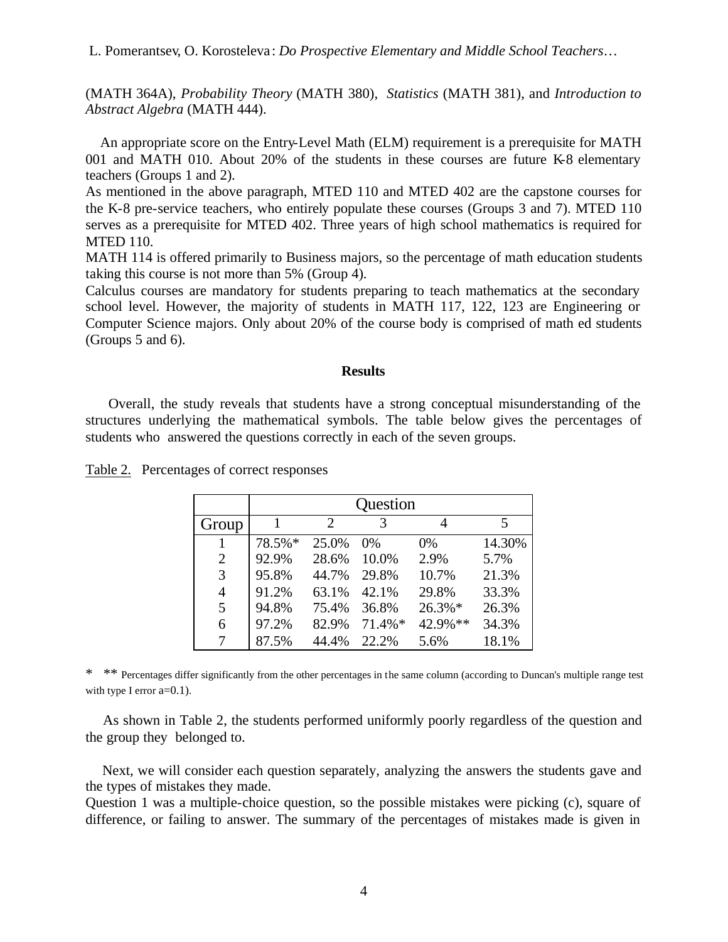L. Pomerantsev, O. Korosteleva : *Do Prospective Elementary and Middle School Teachers…*

(MATH 364A), *Probability Theory* (MATH 380), *Statistics* (MATH 381), and *Introduction to Abstract Algebra* (MATH 444).

 An appropriate score on the Entry-Level Math (ELM) requirement is a prerequisite for MATH 001 and MATH 010. About 20% of the students in these courses are future K-8 elementary teachers (Groups 1 and 2).

As mentioned in the above paragraph, MTED 110 and MTED 402 are the capstone courses for the K-8 pre-service teachers, who entirely populate these courses (Groups 3 and 7). MTED 110 serves as a prerequisite for MTED 402. Three years of high school mathematics is required for MTED 110.

MATH 114 is offered primarily to Business majors, so the percentage of math education students taking this course is not more than 5% (Group 4).

Calculus courses are mandatory for students preparing to teach mathematics at the secondary school level. However, the majority of students in MATH 117, 122, 123 are Engineering or Computer Science majors. Only about 20% of the course body is comprised of math ed students (Groups 5 and 6).

### **Results**

 Overall, the study reveals that students have a strong conceptual misunderstanding of the structures underlying the mathematical symbols. The table below gives the percentages of students who answered the questions correctly in each of the seven groups.

|                | Question |                       |           |         |        |  |
|----------------|----------|-----------------------|-----------|---------|--------|--|
| Group          |          | $\mathcal{D}_{\cdot}$ |           |         | 5      |  |
|                | 78.5%*   | 25.0%                 | 0%        | 0%      | 14.30% |  |
| 2              | 92.9%    | 28.6%                 | 10.0%     | 2.9%    | 5.7%   |  |
| 3              | 95.8%    | 44.7%                 | 29.8%     | 10.7%   | 21.3%  |  |
| $\overline{4}$ | 91.2%    | 63.1%                 | 42.1%     | 29.8%   | 33.3%  |  |
| 5              | 94.8%    | 75.4%                 | 36.8%     | 26.3%*  | 26.3%  |  |
| 6              | 97.2%    | 82.9%                 | $71.4\%*$ | 42.9%** | 34.3%  |  |
|                | 87.5%    | 44.4%                 | 22.2%     | 5.6%    | 18.1%  |  |

Table 2. Percentages of correct responses

\* \*\* Percentages differ significantly from the other percentages in the same column (according to Duncan's multiple range test with type I error  $a=0.1$ ).

 As shown in Table 2, the students performed uniformly poorly regardless of the question and the group they belonged to.

 Next, we will consider each question separately, analyzing the answers the students gave and the types of mistakes they made.

Question 1 was a multiple-choice question, so the possible mistakes were picking (c), square of difference, or failing to answer. The summary of the percentages of mistakes made is given in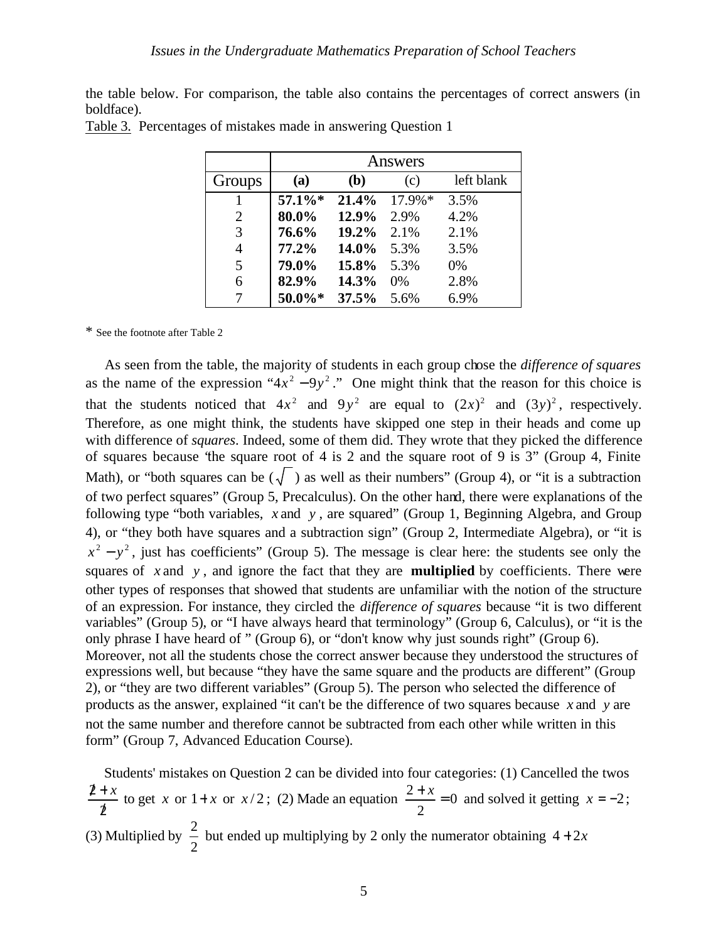the table below. For comparison, the table also contains the percentages of correct answers (in boldface).

|                | Answers |       |           |            |  |  |
|----------------|---------|-------|-----------|------------|--|--|
| Groups         | (a)     | (b)   | (c)       | left blank |  |  |
|                | 57.1%*  | 21.4% | $17.9\%*$ | 3.5%       |  |  |
| 2              | 80.0%   | 12.9% | 2.9%      | 4.2%       |  |  |
| 3              | 76.6%   | 19.2% | 2.1%      | 2.1%       |  |  |
| $\overline{4}$ | 77.2%   | 14.0% | 5.3%      | 3.5%       |  |  |
| 5              | 79.0%   | 15.8% | 5.3%      | 0%         |  |  |
| 6              | 82.9%   | 14.3% | 0%        | 2.8%       |  |  |
| 7              | 50.0%*  | 37.5% | 5.6%      | 6.9%       |  |  |

| Table 3. Percentages of mistakes made in answering Question 1 |  |  |  |
|---------------------------------------------------------------|--|--|--|
|                                                               |  |  |  |

\* See the footnote after Table 2

 As seen from the table, the majority of students in each group chose the *difference of squares* as the name of the expression " $4x^2 - 9y^2$ ." One might think that the reason for this choice is that the students noticed that  $4x^2$  and  $9y^2$  are equal to  $(2x)^2$  and  $(3y)^2$ , respectively. Therefore, as one might think, the students have skipped one step in their heads and come up with difference of *squares*. Indeed, some of them did. They wrote that they picked the difference of squares because "the square root of 4 is 2 and the square root of 9 is 3" (Group 4, Finite Math), or "both squares can be  $(\sqrt{\phantom{x}})$  as well as their numbers" (Group 4), or "it is a subtraction of two perfect squares" (Group 5, Precalculus). On the other hand, there were explanations of the following type "both variables, *x* and *y* , are squared" (Group 1, Beginning Algebra, and Group 4), or "they both have squares and a subtraction sign" (Group 2, Intermediate Algebra), or "it is  $x^2 - y^2$ , just has coefficients" (Group 5). The message is clear here: the students see only the squares of *x* and *y* , and ignore the fact that they are **multiplied** by coefficients. There were other types of responses that showed that students are unfamiliar with the notion of the structure of an expression. For instance, they circled the *difference of squares* because "it is two different variables" (Group 5), or "I have always heard that terminology" (Group 6, Calculus), or "it is the only phrase I have heard of " (Group 6), or "don't know why just sounds right" (Group 6). Moreover, not all the students chose the correct answer because they understood the structures of expressions well, but because "they have the same square and the products are different" (Group 2), or "they are two different variables" (Group 5). The person who selected the difference of products as the answer, explained "it can't be the difference of two squares because *x* and *y* are not the same number and therefore cannot be subtracted from each other while written in this form" (Group 7, Advanced Education Course).

 Students' mistakes on Question 2 can be divided into four categories: (1) Cancelled the twos 2 2 /  $\frac{2+x}{2}$  to get *x* or  $1+x$  or  $x/2$ ; (2) Made an equation  $\frac{2+x}{2} = 0$ 2  $\frac{2+x}{2} = 0$  and solved it getting  $x = -2$ ; (3) Multiplied by 2  $\frac{2}{x}$  but ended up multiplying by 2 only the numerator obtaining  $4+2x$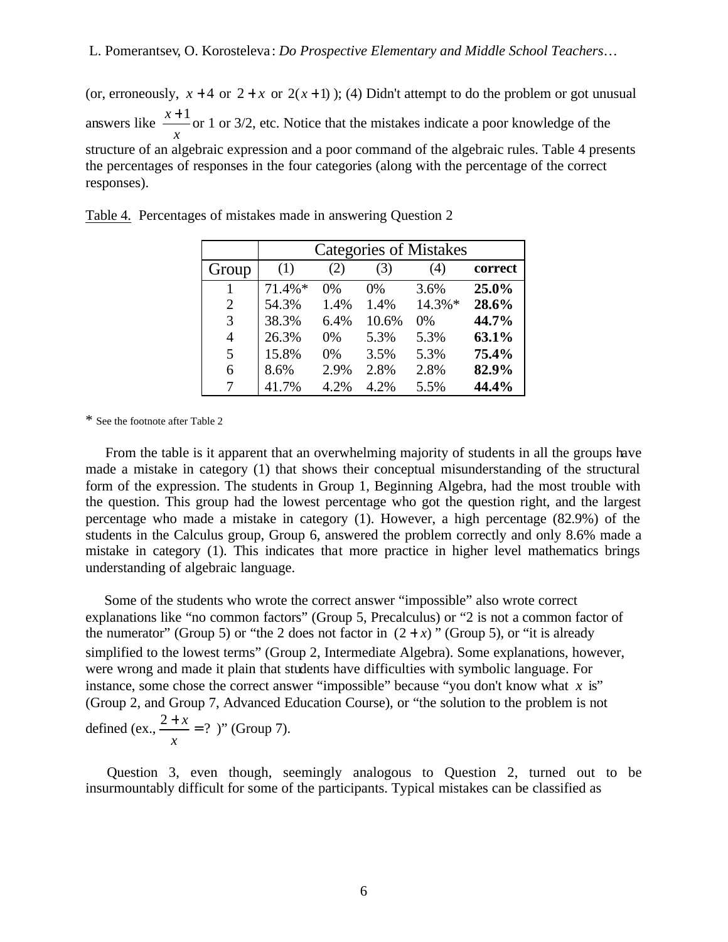(or, erroneously,  $x + 4$  or  $2 + x$  or  $2(x + 1)$ ); (4) Didn't attempt to do the problem or got unusual answers like *x*  $\frac{x+1}{x}$  or 1 or 3/2, etc. Notice that the mistakes indicate a poor knowledge of the structure of an algebraic expression and a poor command of the algebraic rules. Table 4 presents the percentages of responses in the four categories (along with the percentage of the correct responses).

|                       | <b>Categories of Mistakes</b> |       |       |        |         |  |
|-----------------------|-------------------------------|-------|-------|--------|---------|--|
| Group                 | (1)                           | (2)   | (3)   | (4)    | correct |  |
| 1                     | $71.4\%*$                     | $0\%$ | $0\%$ | 3.6%   | 25.0%   |  |
| $\mathcal{D}_{\cdot}$ | 54.3%                         | 1.4%  | 1.4%  | 14.3%* | 28.6%   |  |
| 3                     | 38.3%                         | 6.4%  | 10.6% | 0%     | 44.7%   |  |
| 4                     | 26.3%                         | 0%    | 5.3%  | 5.3%   | 63.1%   |  |
| 5                     | 15.8%                         | 0%    | 3.5%  | 5.3%   | 75.4%   |  |
| 6                     | 8.6%                          | 2.9%  | 2.8%  | 2.8%   | 82.9%   |  |
|                       | 41.7%                         | 4.2%  | 4.2%  | 5.5%   | 44.4%   |  |

| Table 4. Percentages of mistakes made in answering Question 2 |  |  |  |
|---------------------------------------------------------------|--|--|--|
|                                                               |  |  |  |

\* See the footnote after Table 2

 From the table is it apparent that an overwhelming majority of students in all the groups have made a mistake in category (1) that shows their conceptual misunderstanding of the structural form of the expression. The students in Group 1, Beginning Algebra, had the most trouble with the question. This group had the lowest percentage who got the question right, and the largest percentage who made a mistake in category (1). However, a high percentage (82.9%) of the students in the Calculus group, Group 6, answered the problem correctly and only 8.6% made a mistake in category (1). This indicates that more practice in higher level mathematics brings understanding of algebraic language.

 Some of the students who wrote the correct answer "impossible" also wrote correct explanations like "no common factors" (Group 5, Precalculus) or "2 is not a common factor of the numerator" (Group 5) or "the 2 does not factor in  $(2 + x)$ " (Group 5), or "it is already simplified to the lowest terms" (Group 2, Intermediate Algebra). Some explanations, however, were wrong and made it plain that students have difficulties with symbolic language. For instance, some chose the correct answer "impossible" because "you don't know what *x* is" (Group 2, and Group 7, Advanced Education Course), or "the solution to the problem is not defined (ex.,  $\frac{2+x}{2} = ?$ *x*  $\frac{x}{x} = ?$  )" (Group 7).

 Question 3, even though, seemingly analogous to Question 2, turned out to be insurmountably difficult for some of the participants. Typical mistakes can be classified as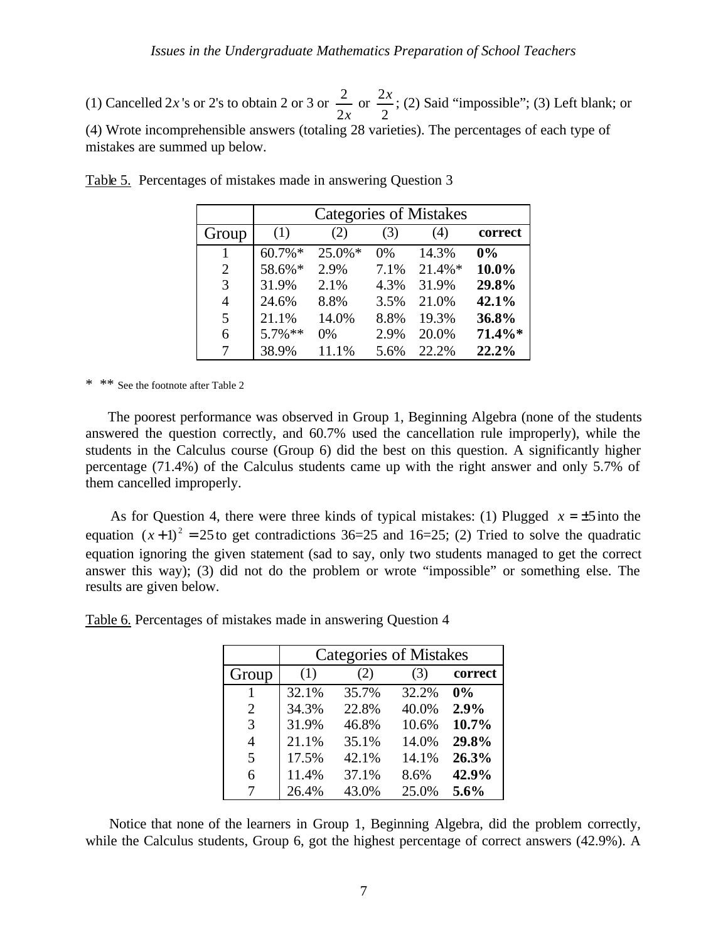(1) Cancelled 2*x* 's or 2's to obtain 2 or 3 or 2*x*  $\frac{2}{x}$  or 2  $\frac{2x}{x}$ ; (2) Said "impossible"; (3) Left blank; or (4) Wrote incomprehensible answers (totaling 28 varieties). The percentages of each type of mistakes are summed up below.

| Group          | (1)        | (2)    | (3)   | (4)       | correct |
|----------------|------------|--------|-------|-----------|---------|
|                | $60.7\%$ * | 25.0%* | $0\%$ | 14.3%     | 0%      |
| $\overline{2}$ | 58.6%*     | 2.9%   | 7.1%  | $21.4\%*$ | 10.0%   |
| 3              | 31.9%      | 2.1%   | 4.3%  | 31.9%     | 29.8%   |
| 4              | 24.6%      | 8.8%   | 3.5%  | 21.0%     | 42.1%   |
| 5              | 21.1%      | 14.0%  | 8.8%  | 19.3%     | 36.8%   |
| 6              | $5.7\%$ ** | 0%     | 2.9%  | 20.0%     | 71.4%*  |
| 7              | 38.9%      | 11.1%  | 5.6%  | 22.2%     | 22.2%   |

Table 5. Percentages of mistakes made in answering Question 3

\* \*\* See the footnote after Table 2

 The poorest performance was observed in Group 1, Beginning Algebra (none of the students answered the question correctly, and 60.7% used the cancellation rule improperly), while the students in the Calculus course (Group 6) did the best on this question. A significantly higher percentage (71.4%) of the Calculus students came up with the right answer and only 5.7% of them cancelled improperly.

As for Question 4, there were three kinds of typical mistakes: (1) Plugged  $x = \pm 5$  into the equation  $(x+1)^2 = 25$  to get contradictions 36=25 and 16=25; (2) Tried to solve the quadratic equation ignoring the given statement (sad to say, only two students managed to get the correct answer this way); (3) did not do the problem or wrote "impossible" or something else. The results are given below.

|       | <b>Categories of Mistakes</b> |       |       |         |  |  |
|-------|-------------------------------|-------|-------|---------|--|--|
| Group | (1)                           | (2)   | (3)   | correct |  |  |
|       | 32.1%                         | 35.7% | 32.2% | 0%      |  |  |
| 2     | 34.3%                         | 22.8% | 40.0% | 2.9%    |  |  |
| 3     | 31.9%                         | 46.8% | 10.6% | 10.7%   |  |  |
| 4     | 21.1%                         | 35.1% | 14.0% | 29.8%   |  |  |
| 5     | 17.5%                         | 42.1% | 14.1% | 26.3%   |  |  |
| 6     | 11.4%                         | 37.1% | 8.6%  | 42.9%   |  |  |
|       | 26.4%                         | 43.0% | 25.0% | 5.6%    |  |  |

Table 6. Percentages of mistakes made in answering Question 4

 Notice that none of the learners in Group 1, Beginning Algebra, did the problem correctly, while the Calculus students, Group 6, got the highest percentage of correct answers (42.9%). A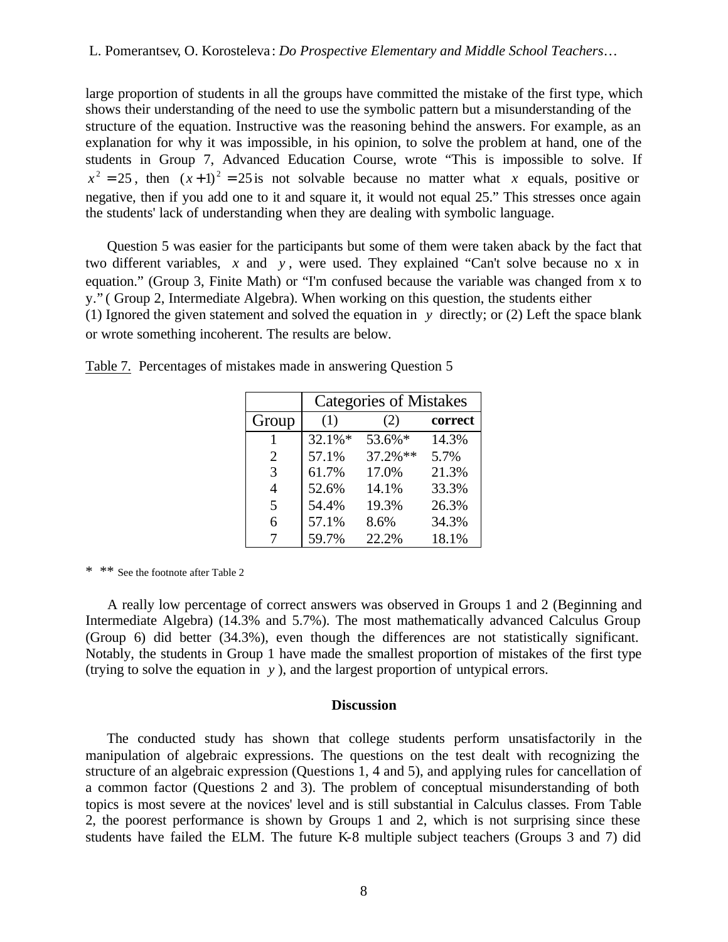large proportion of students in all the groups have committed the mistake of the first type, which shows their understanding of the need to use the symbolic pattern but a misunderstanding of the structure of the equation. Instructive was the reasoning behind the answers. For example, as an explanation for why it was impossible, in his opinion, to solve the problem at hand, one of the students in Group 7, Advanced Education Course, wrote "This is impossible to solve. If  $x^2 = 25$ , then  $(x+1)^2 = 25$  is not solvable because no matter what *x* equals, positive or negative, then if you add one to it and square it, it would not equal 25." This stresses once again the students' lack of understanding when they are dealing with symbolic language.

 Question 5 was easier for the participants but some of them were taken aback by the fact that two different variables, *x* and *y* , were used. They explained "Can't solve because no x in equation." (Group 3, Finite Math) or "I'm confused because the variable was changed from x to y." ( Group 2, Intermediate Algebra). When working on this question, the students either (1) Ignored the given statement and solved the equation in *y* directly; or (2) Left the space blank or wrote something incoherent. The results are below.

|                | <b>Categories of Mistakes</b> |             |         |  |  |
|----------------|-------------------------------|-------------|---------|--|--|
| Group          | (1)                           | (2)         | correct |  |  |
|                | $32.1\%$ *                    | 53.6%*      | 14.3%   |  |  |
| 2              | 57.1%                         | $37.2\%$ ** | 5.7%    |  |  |
| 3              | 61.7%                         | 17.0%       | 21.3%   |  |  |
| $\overline{A}$ | 52.6%                         | 14.1%       | 33.3%   |  |  |
| 5              | 54.4%                         | 19.3%       | 26.3%   |  |  |
| 6              | 57.1%                         | 8.6%        | 34.3%   |  |  |
|                | 59.7%                         | 22.2%       | 18.1%   |  |  |

Table 7. Percentages of mistakes made in answering Question 5

\* \*\* See the footnote after Table 2

 A really low percentage of correct answers was observed in Groups 1 and 2 (Beginning and Intermediate Algebra) (14.3% and 5.7%). The most mathematically advanced Calculus Group (Group 6) did better (34.3%), even though the differences are not statistically significant. Notably, the students in Group 1 have made the smallest proportion of mistakes of the first type (trying to solve the equation in *y* ), and the largest proportion of untypical errors.

### **Discussion**

 The conducted study has shown that college students perform unsatisfactorily in the manipulation of algebraic expressions. The questions on the test dealt with recognizing the structure of an algebraic expression (Questions 1, 4 and 5), and applying rules for cancellation of a common factor (Questions 2 and 3). The problem of conceptual misunderstanding of both topics is most severe at the novices' level and is still substantial in Calculus classes. From Table 2, the poorest performance is shown by Groups 1 and 2, which is not surprising since these students have failed the ELM. The future K-8 multiple subject teachers (Groups 3 and 7) did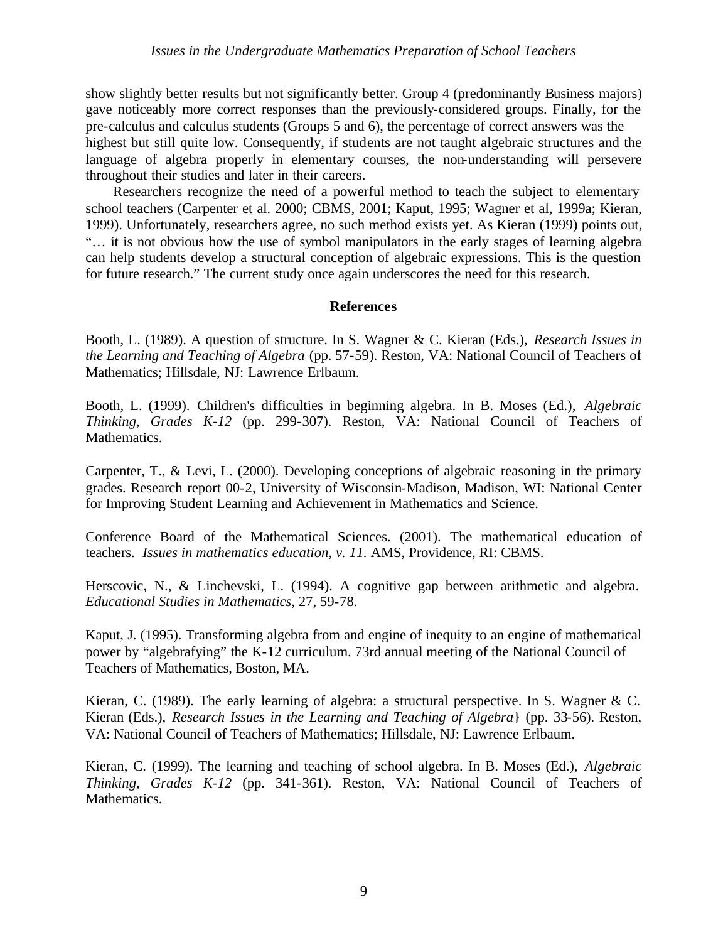show slightly better results but not significantly better. Group 4 (predominantly Business majors) gave noticeably more correct responses than the previously-considered groups. Finally, for the pre-calculus and calculus students (Groups 5 and 6), the percentage of correct answers was the highest but still quite low. Consequently, if students are not taught algebraic structures and the language of algebra properly in elementary courses, the non-understanding will persevere throughout their studies and later in their careers.

 Researchers recognize the need of a powerful method to teach the subject to elementary school teachers (Carpenter et al. 2000; CBMS, 2001; Kaput, 1995; Wagner et al, 1999a; Kieran, 1999). Unfortunately, researchers agree, no such method exists yet. As Kieran (1999) points out, "… it is not obvious how the use of symbol manipulators in the early stages of learning algebra can help students develop a structural conception of algebraic expressions. This is the question for future research." The current study once again underscores the need for this research.

# **References**

Booth, L. (1989). A question of structure. In S. Wagner & C. Kieran (Eds.), *Research Issues in the Learning and Teaching of Algebra* (pp. 57-59). Reston, VA: National Council of Teachers of Mathematics; Hillsdale, NJ: Lawrence Erlbaum.

Booth, L. (1999). Children's difficulties in beginning algebra. In B. Moses (Ed.), *Algebraic Thinking, Grades K-12* (pp. 299-307). Reston, VA: National Council of Teachers of Mathematics.

Carpenter, T., & Levi, L. (2000). Developing conceptions of algebraic reasoning in the primary grades. Research report 00-2, University of Wisconsin-Madison, Madison, WI: National Center for Improving Student Learning and Achievement in Mathematics and Science.

Conference Board of the Mathematical Sciences. (2001). The mathematical education of teachers. *Issues in mathematics education, v. 11.* AMS, Providence, RI: CBMS.

Herscovic, N., & Linchevski, L. (1994). A cognitive gap between arithmetic and algebra. *Educational Studies in Mathematics*, 27, 59-78.

Kaput, J. (1995). Transforming algebra from and engine of inequity to an engine of mathematical power by "algebrafying" the K-12 curriculum. 73rd annual meeting of the National Council of Teachers of Mathematics, Boston, MA.

Kieran, C. (1989). The early learning of algebra: a structural perspective. In S. Wagner & C. Kieran (Eds.), *Research Issues in the Learning and Teaching of Algebra*} (pp. 33-56). Reston, VA: National Council of Teachers of Mathematics; Hillsdale, NJ: Lawrence Erlbaum.

Kieran, C. (1999). The learning and teaching of school algebra. In B. Moses (Ed.), *Algebraic Thinking, Grades K-12* (pp. 341-361). Reston, VA: National Council of Teachers of Mathematics.